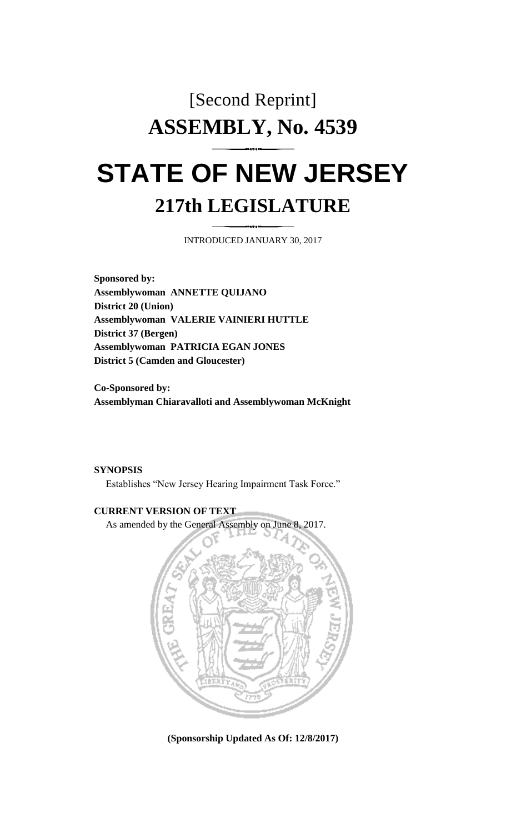## [Second Reprint] **ASSEMBLY, No. 4539 STATE OF NEW JERSEY**

# **217th LEGISLATURE**

INTRODUCED JANUARY 30, 2017

**Sponsored by: Assemblywoman ANNETTE QUIJANO District 20 (Union) Assemblywoman VALERIE VAINIERI HUTTLE District 37 (Bergen) Assemblywoman PATRICIA EGAN JONES District 5 (Camden and Gloucester)**

**Co-Sponsored by: Assemblyman Chiaravalloti and Assemblywoman McKnight**

#### **SYNOPSIS**

Establishes "New Jersey Hearing Impairment Task Force."

### **CURRENT VERSION OF TEXT**



**(Sponsorship Updated As Of: 12/8/2017)**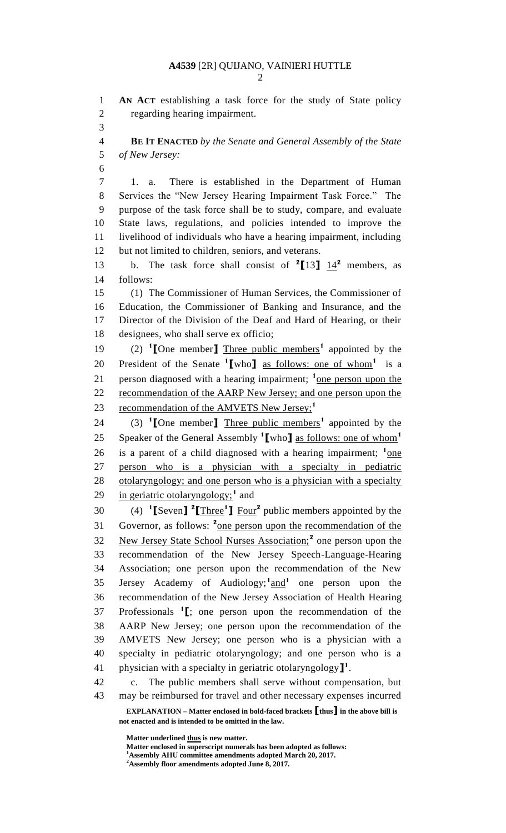**AN ACT** establishing a task force for the study of State policy regarding hearing impairment. 

 **BE IT ENACTED** *by the Senate and General Assembly of the State of New Jersey:*

 1. a. There is established in the Department of Human Services the "New Jersey Hearing Impairment Task Force." The purpose of the task force shall be to study, compare, and evaluate State laws, regulations, and policies intended to improve the livelihood of individuals who have a hearing impairment, including but not limited to children, seniors, and veterans.

13 b. The task force shall consist of  $2[13]$   $14^2$  members, as follows:

 (1) The Commissioner of Human Services, the Commissioner of Education, the Commissioner of Banking and Insurance, and the Director of the Division of the Deaf and Hard of Hearing, or their designees, who shall serve ex officio;

(2) **<sup>1</sup> [**One member**]** Three public members**<sup>1</sup>** appointed by the 20 President of the Senate <sup>1</sup>[who] <u>as follows: one of whom</u><sup>1</sup> is a 21 person diagnosed with a hearing impairment; <sup>1</sup> <u>one person upon the</u> recommendation of the AARP New Jersey; and one person upon the recommendation of the AMVETS New Jersey;**<sup>1</sup>** 

(3) **<sup>1</sup> [**One member**]** Three public members**<sup>1</sup>** appointed by the Speaker of the General Assembly **<sup>1</sup> [**who**]** as follows: one of whom**<sup>1</sup>** 26 is a parent of a child diagnosed with a hearing impairment; <sup>1</sup>one person who is a physician with a specialty in pediatric otolaryngology; and one person who is a physician with a specialty 29 in geriatric otolaryngology;<sup>1</sup> and

(4) **<sup>1</sup> [**Seven**] 2 [**Three**<sup>1</sup> ]** Four**<sup>2</sup>** public members appointed by the 31 Governor, as follows: <sup>2</sup> <u>one person upon the recommendation of the</u> 32 New Jersey State School Nurses Association;<sup>2</sup> one person upon the recommendation of the New Jersey Speech-Language-Hearing Association; one person upon the recommendation of the New 35 Jersey Academy of Audiology;<sup>1</sup> and<sup>1</sup> one person upon the recommendation of the New Jersey Association of Health Hearing Professionals **<sup>1</sup> [**; one person upon the recommendation of the AARP New Jersey; one person upon the recommendation of the AMVETS New Jersey; one person who is a physician with a specialty in pediatric otolaryngology; and one person who is a physician with a specialty in geriatric otolaryngology**] 1** .

 c. The public members shall serve without compensation, but may be reimbursed for travel and other necessary expenses incurred

**EXPLANATION – Matter enclosed in bold-faced brackets [thus] in the above bill is not enacted and is intended to be omitted in the law.**

**Matter underlined thus is new matter.**

Matter enclosed in superscript numerals has been adopted as follows: **Assembly AHU committee amendments adopted March 20, 2017.**

**Assembly floor amendments adopted June 8, 2017.**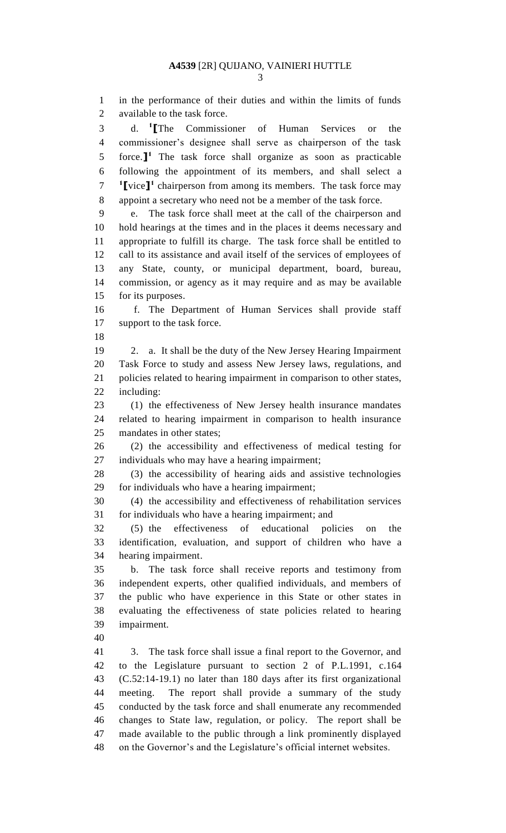in the performance of their duties and within the limits of funds available to the task force.

d. **<sup>1</sup> [**The Commissioner of Human Services or the commissioner's designee shall serve as chairperson of the task 5 force.<sup>1</sup> The task force shall organize as soon as practicable following the appointment of its members, and shall select a **[**vice**] 1** chairperson from among its members. The task force may appoint a secretary who need not be a member of the task force.

 e. The task force shall meet at the call of the chairperson and hold hearings at the times and in the places it deems necessary and appropriate to fulfill its charge. The task force shall be entitled to call to its assistance and avail itself of the services of employees of any State, county, or municipal department, board, bureau, commission, or agency as it may require and as may be available for its purposes.

 f. The Department of Human Services shall provide staff support to the task force.

 2. a. It shall be the duty of the New Jersey Hearing Impairment Task Force to study and assess New Jersey laws, regulations, and policies related to hearing impairment in comparison to other states, including:

 (1) the effectiveness of New Jersey health insurance mandates related to hearing impairment in comparison to health insurance mandates in other states;

 (2) the accessibility and effectiveness of medical testing for individuals who may have a hearing impairment;

 (3) the accessibility of hearing aids and assistive technologies for individuals who have a hearing impairment;

 (4) the accessibility and effectiveness of rehabilitation services for individuals who have a hearing impairment; and

 (5) the effectiveness of educational policies on the identification, evaluation, and support of children who have a hearing impairment.

 b. The task force shall receive reports and testimony from independent experts, other qualified individuals, and members of the public who have experience in this State or other states in evaluating the effectiveness of state policies related to hearing impairment.

 3. The task force shall issue a final report to the Governor, and to the Legislature pursuant to section 2 of P.L.1991, c.164 (C.52:14-19.1) no later than 180 days after its first organizational meeting. The report shall provide a summary of the study conducted by the task force and shall enumerate any recommended changes to State law, regulation, or policy. The report shall be made available to the public through a link prominently displayed on the Governor's and the Legislature's official internet websites.